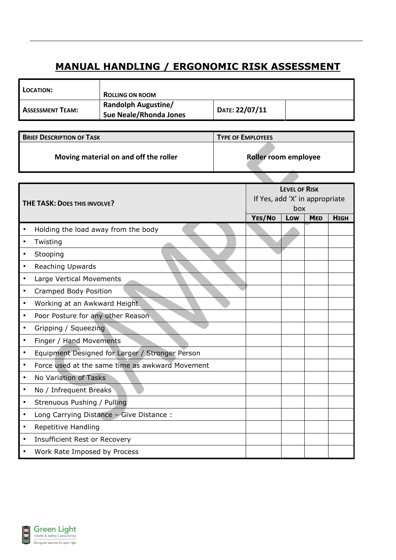## **MANUAL HANDLING / ERGONOMIC RISK ASSESSMENT**

| LOCATION:               | <b>ROLLING ON ROOM</b>                               |                |  |
|-------------------------|------------------------------------------------------|----------------|--|
| <b>ASSESSMENT TEAM:</b> | <b>Randolph Augustine/</b><br>Sue Neale/Rhonda Jones | DATE: 22/07/11 |  |

| <b>BRIEF DESCRIPTION OF TASK</b>      | <b>TYPE OF EMPLOYEES</b> |
|---------------------------------------|--------------------------|
| Moving material on and off the roller | Roller room employee     |

| THE TASK: DOES THIS INVOLVE? |                                                 | <b>LEVEL OF RISK</b><br>If Yes, add 'X' in appropriate<br>box |     |            |             |
|------------------------------|-------------------------------------------------|---------------------------------------------------------------|-----|------------|-------------|
|                              |                                                 | YES/No                                                        | Low | <b>MED</b> | <b>HIGH</b> |
| $\bullet$                    | Holding the load away from the body             |                                                               |     |            |             |
| $\bullet$                    | Twisting                                        |                                                               |     |            |             |
| $\bullet$                    | Stooping                                        |                                                               |     |            |             |
| $\bullet$                    | <b>Reaching Upwards</b>                         |                                                               |     |            |             |
| $\bullet$                    | Large Vertical Movements                        |                                                               |     |            |             |
| $\bullet$                    | Cramped Body Position                           |                                                               |     |            |             |
| $\bullet$                    | Working at an Awkward Height                    |                                                               |     |            |             |
| $\bullet$                    | Poor Posture for any other Reason               |                                                               |     |            |             |
| $\bullet$                    | Gripping / Squeezing                            |                                                               |     |            |             |
| $\bullet$                    | Finger / Hand Movements                         |                                                               |     |            |             |
| $\bullet$                    | Equipment Designed for Larger / Stronger Person |                                                               |     |            |             |
| $\bullet$                    | Force used at the same time as awkward Movement |                                                               |     |            |             |
| $\bullet$                    | No Variation of Tasks                           |                                                               |     |            |             |
| $\bullet$                    | No / Infrequent Breaks                          |                                                               |     |            |             |
| $\bullet$                    | Strenuous Pushing / Pulling                     |                                                               |     |            |             |
| $\bullet$                    | Long Carrying Distance - Give Distance :        |                                                               |     |            |             |
| $\bullet$                    | <b>Repetitive Handling</b>                      |                                                               |     |            |             |
| $\bullet$                    | <b>Insufficient Rest or Recovery</b>            |                                                               |     |            |             |
| $\bullet$                    | Work Rate Imposed by Process                    |                                                               |     |            |             |